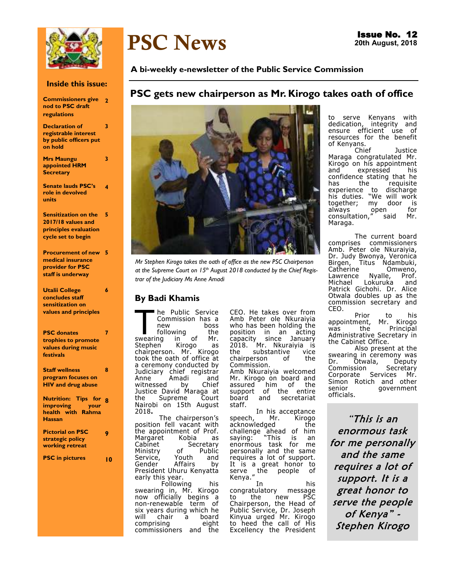

#### **Inside this issue:**

| <b>Commissioners give</b> 2 |  |
|-----------------------------|--|
| nod to PSC draft            |  |
| regulations                 |  |

**Declaration of registrable interest by public officers put on hold 3** 

**Mrs Maungu appointed HRM Secretary** 

**3** 

**Senate lauds PSC's role in devolved units 4** 

**Sensitization on the 5 2017/18 values and principles evaluation cycle set to begin** 

**Procurement of new 5 medical insurance provider for PSC staff is underway** 

**Utalii College concludes staff sensitization on values and principles 6** 

**PSC donates trophies to promote values during music festivals 7** 

**Staff wellness program focuses on HIV and drug abuse 8** 

**Nutrition: Tips for 8 improving your health with Rahma Hassan** 

**Pictorial on PSC strategic policy working retreat 9** 

**PSC in pictures 10**

# PSC News

### **A bi-weekly e-newsletter of the Public Service Commission**

### **PSC gets new chairperson as Mr. Kirogo takes oath of office**



*Mr Stephen Kirogo takes the oath of office as the new PSC Chairperson at the Supreme Court on 15th August 2018 conducted by the Chief Registrar of the Judiciary Ms Anne Amadi* 

### **By Badi Khamis**

The Public Service<br>Commission has a<br>new boss<br>swearing in of Mr. he Public Service Commission has a boss<br>the following the<br>ng in of Mr. Stephen Kirogo as chairperson. Mr. Kirogo took the oath of office at a ceremony conducted by Judiciary chief registrar<br>Anne Amadi and Anne Amadi and<br>witnessed by Chief witnessed by Chief Justice David Maraga at the Supreme Court Nairobi on 15th August 2018**.** 

 The chairperson's position fell vacant with the appointment of Prof.<br>Margaret Kobia as Margaret<br>Cabinet Secretary<br>of Public Ministry of Public<br>Service, Youth and Service, Youth and<br>Gender Affairs by Gender Affairs by President Uhuru Kenyatta early this year. Following his swearing in, Mr. Kirogo now officially begins a non-renewable term of six years during which he<br>will chair a board chair a board<br>ising a eight comprising commissioners and the

CEO. He takes over from Amb Peter ole Nkuraiyia who has been holding the position in an acting capacity since January 2018. Mr. Nkuraiyia is<br>the substantive vice substantive vice<br>erson of the chairperson Commission.

Amb Nkuraiyia welcomed Mr. Kirogo on board and<br>assured him of the assured him<br>support of support of the entire<br>board and secretariat secretariat staff.

In his acceptance<br>Mr. Kirogo speech, Mr. Kirogo<br>acknowledged the acknowledged challenge ahead of him<br>saving: "This is an saying: "This is an<br>enormous task for me enormous task personally and the same requires a lot of support. It is a great honor to serve the people of Kenya."

his<br>message congratulatory message<br>to the new PSC to the new PSC Chairperson, the Head of Public Service, Dr. Joseph Kinyua urged Mr. Kirogo to heed the call of His Excellency the President

to serve Kenyans with<br>dedication, integrity and integrity and ensure efficient use of resources for the benefit

of Kenyans.<br>Chief Justice Maraga congratulated Mr. Kirogo on his appointment<br>and expressed his expressed confidence stating that he<br>has the requisite has the requisite experience to discharge his duties. "We will work together; my door is always open for consultation," said Mr. Maraga.

The current board<br>comprises commissioners comprises commissioners Amb. Peter ole Nkuraiyia, Dr. Judy Bwonya, Veronica<br>Birgen, Titus Ndambuki, Titus Ndambuki,<br>9 Omweno, Catherine Omweno,<br>Lawrence Nyalle, Prof. Lawrence Nyalle, Prof.<br>Michael Lokuruka and Lokuruka Patrick Gichohi. Dr. Alice Otwala doubles up as the commission secretary and CEO.

Prior to his<br>ment, Mr. Kirogo appointment,<br>was the Principal Administrative Secretary in the Cabinet Office.

Also present at the swearing in ceremony was<br>Dr. Otwala, Deputy Dr. Otwala,<br>Commission Secretary<br>Services Mr. Corporate Simon Rotich and other<br>senior qovernment government officials.

"This is an enormous task for me personally and the same requires a lot of support. It is a great honor to serve the people of Kenya" - Stephen Kirogo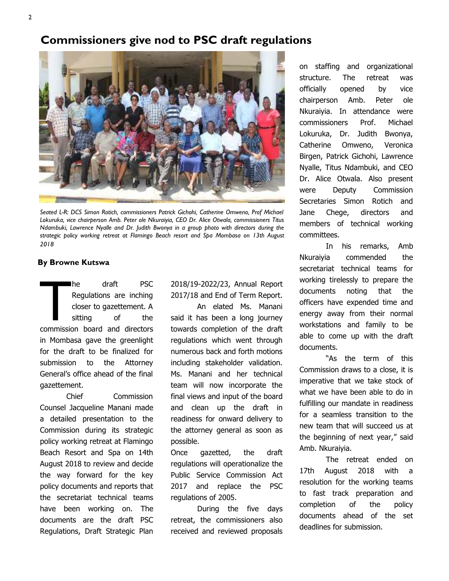### **Commissioners give nod to PSC draft regulations**



Seated L-R: DCS Simon Rotich, commissioners Patrick Gichohi, Catherine Omweno, Prof Michael *Lokuruka, vice chairperson Amb. Peter ole Nkuraiyia, CEO Dr. Alice Otwala, commissioners Titus Ndambuki, Lawrence Nyalle and Dr. Judith Bwonya in a group photo with directors during the strategic policy working retreat at Flamingo Beach resort and Spa Mombasa on 13th August 2018* 

### **By Browne Kutswa**

The draft PSC<br>
Regulations are inching<br>
closer to gazettement. A<br>
sitting of the<br>
commission board and directors he draft PSC Regulations are inching closer to gazettement. A sitting of the in Mombasa gave the greenlight for the draft to be finalized for submission to the Attorney General's office ahead of the final gazettement.

Chief Commission Counsel Jacqueline Manani made a detailed presentation to the Commission during its strategic policy working retreat at Flamingo Beach Resort and Spa on 14th August 2018 to review and decide the way forward for the key policy documents and reports that the secretariat technical teams have been working on. The documents are the draft PSC Regulations, Draft Strategic Plan

2018/19-2022/23, Annual Report 2017/18 and End of Term Report.

An elated Ms. Manani said it has been a long journey towards completion of the draft regulations which went through numerous back and forth motions including stakeholder validation. Ms. Manani and her technical team will now incorporate the final views and input of the board and clean up the draft in readiness for onward delivery to the attorney general as soon as possible.

Once gazetted, the draft regulations will operationalize the Public Service Commission Act 2017 and replace the PSC regulations of 2005.

 During the five days retreat, the commissioners also received and reviewed proposals on staffing and organizational structure. The retreat was officially opened by vice chairperson Amb. Peter ole Nkuraiyia. In attendance were commissioners Prof. Michael Lokuruka, Dr. Judith Bwonya, Catherine Omweno, Veronica Birgen, Patrick Gichohi, Lawrence Nyalle, Titus Ndambuki, and CEO Dr. Alice Otwala. Also present were Deputy Commission Secretaries Simon Rotich and Jane Chege, directors and members of technical working committees.

In his remarks, Amb Nkuraiyia commended the secretariat technical teams for working tirelessly to prepare the documents noting that the officers have expended time and energy away from their normal workstations and family to be able to come up with the draft documents.

"As the term of this Commission draws to a close, it is imperative that we take stock of what we have been able to do in fulfilling our mandate in readiness for a seamless transition to the new team that will succeed us at the beginning of next year," said Amb. Nkuraiyia.

The retreat ended on 17th August 2018 with a resolution for the working teams to fast track preparation and completion of the policy documents ahead of the set deadlines for submission.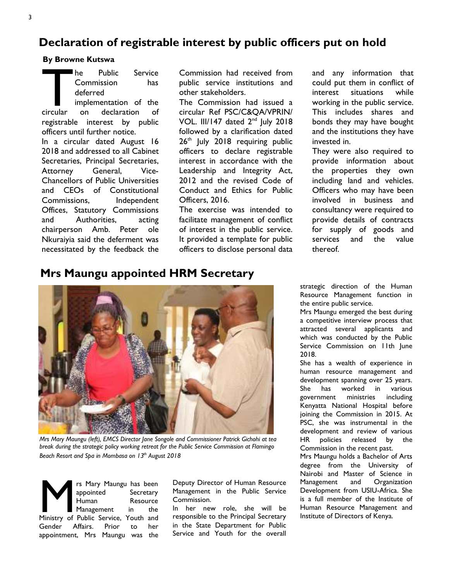# **Declaration of registrable interest by public officers put on hold**

### **By Browne Kutswa**

The Public Service<br>
Commission has<br>
deferred<br>
implementation of the<br>
circular on declaration of Commission has deferred implementation of the circular on declaration of registrable interest by public officers until further notice. In a circular dated August 16 2018 and addressed to all Cabinet Secretaries, Principal Secretaries, Attorney General, Vice-Chancellors of Public Universities and CEOs of Constitutional Commissions, Independent Offices, Statutory Commissions and Authorities, acting chairperson Amb. Peter ole Nkuraiyia said the deferment was necessitated by the feedback the

Commission had received from public service institutions and other stakeholders.

The Commission had issued a circular Ref PSC/C&QA/VPRIN/ VOL. III/147 dated  $2<sup>nd</sup>$  July 2018 followed by a clarification dated  $26<sup>th</sup>$  July 2018 requiring public officers to declare registrable interest in accordance with the Leadership and Integrity Act, 2012 and the revised Code of Conduct and Ethics for Public Officers, 2016.

The exercise was intended to facilitate management of conflict of interest in the public service. It provided a template for public officers to disclose personal data

and any information that could put them in conflict of interest situations while working in the public service. This includes shares and bonds they may have bought and the institutions they have invested in.

They were also required to provide information about the properties they own including land and vehicles. Officers who may have been involved in business and consultancy were required to provide details of contracts for supply of goods and services and the value thereof.

# **Mrs Maungu appointed HRM Secretary**



*Mrs Mary Maungu (left), EMCS Director Jane Songole and Commissioner Patrick Gichohi at tea break during the strategic policy working retreat for the Public Service Commission at Flamingo Beach Resort and Spa in Mombasa on 13th August 2018*

**Mary Maungu has been appointed Secretary Human** Resource Ministry of Public Service, Youth and appointed Secretary Human Resource Management in the Gender Affairs. Prior to her appointment, Mrs Maungu was the

Deputy Director of Human Resource Management in the Public Service Commission.

In her new role, she will be responsible to the Principal Secretary in the State Department for Public Service and Youth for the overall

strategic direction of the Human Resource Management function in the entire public service.

Mrs Maungu emerged the best during a competitive interview process that attracted several applicants and which was conducted by the Public Service Commission on 11th June 2018.

She has a wealth of experience in human resource management and development spanning over 25 years. She has worked in various government ministries including Kenyatta National Hospital before joining the Commission in 2015. At PSC, she was instrumental in the development and review of various HR policies released by the Commission in the recent past. Mrs Maungu holds a Bachelor of Arts

degree from the University of Nairobi and Master of Science in Management and Organization Development from USIU-Africa. She is a full member of the Institute of Human Resource Management and Institute of Directors of Kenya.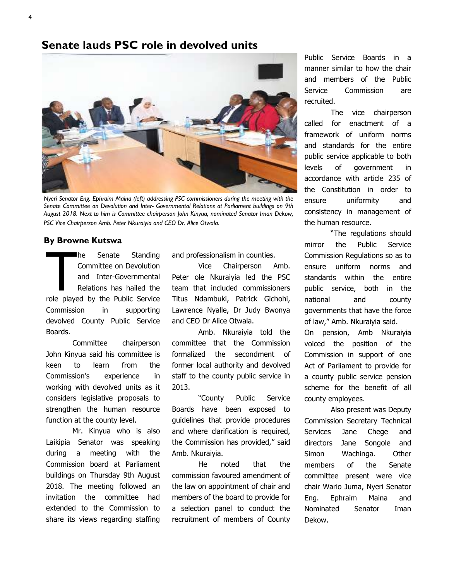### **Senate lauds PSC role in devolved units**



*Nyeri Senator Eng. Ephraim Maina (left) addressing PSC commissioners during the meeting with the Senate Committee on Devolution and Inter- Governmental Relations at Parliament buildings on 9th August 2018. Next to him is Committee chairperson John Kinyua, nominated Senator Iman Dekow, PSC Vice Chairperson Amb. Peter Nkuraiyia and CEO Dr. Alice Otwala.* 

#### **By Browne Kutswa**

The Senate Standing<br>
Committee on Devolution<br>
and Inter-Governmental<br>
Relations has hailed the<br>
role played by the Public Service he Senate Standing Committee on Devolution and Inter-Governmental Relations has hailed the Commission in supporting devolved County Public Service Boards.

Committee chairperson John Kinyua said his committee is keen to learn from the Commission's experience in working with devolved units as it considers legislative proposals to strengthen the human resource function at the county level.

Mr. Kinyua who is also Laikipia Senator was speaking during a meeting with the Commission board at Parliament buildings on Thursday 9th August 2018. The meeting followed an invitation the committee had extended to the Commission to share its views regarding staffing

and professionalism in counties.

Vice Chairperson Amb. Peter ole Nkuraiyia led the PSC team that included commissioners Titus Ndambuki, Patrick Gichohi, Lawrence Nyalle, Dr Judy Bwonya and CEO Dr Alice Otwala.

Amb. Nkuraiyia told the committee that the Commission formalized the secondment of former local authority and devolved staff to the county public service in 2013.

"County Public Service Boards have been exposed to guidelines that provide procedures and where clarification is required, the Commission has provided," said Amb. Nkuraiyia.

He noted that the commission favoured amendment of the law on appointment of chair and members of the board to provide for a selection panel to conduct the recruitment of members of County Public Service Boards in a manner similar to how the chair and members of the Public Service Commission are recruited.

The vice chairperson called for enactment of a framework of uniform norms and standards for the entire public service applicable to both levels of government in accordance with article 235 of the Constitution in order to ensure uniformity and consistency in management of the human resource.

"The regulations should mirror the Public Service Commission Regulations so as to ensure uniform norms and standards within the entire public service, both in the national and county governments that have the force of law," Amb. Nkuraiyia said.

On pension, Amb Nkuraiyia voiced the position of the Commission in support of one Act of Parliament to provide for a county public service pension scheme for the benefit of all county employees.

Also present was Deputy Commission Secretary Technical Services Jane Chege and directors Jane Songole and Simon Wachinga. Other members of the Senate committee present were vice chair Wario Juma, Nyeri Senator Eng. Ephraim Maina and Nominated Senator Iman Dekow.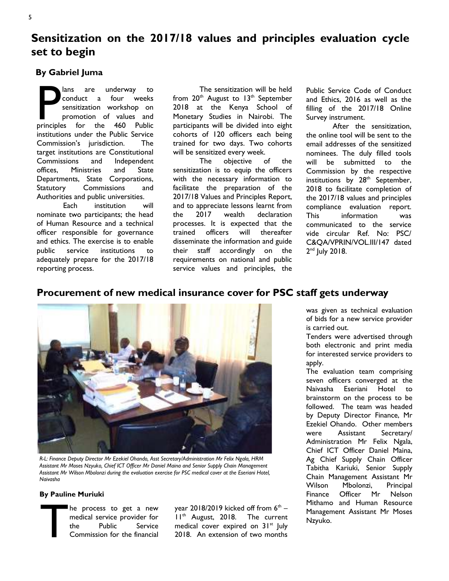# **Sensitization on the 2017/18 values and principles evaluation cycle set to begin**

### **By Gabriel Juma**

ans are underway to<br>conduct a four weeks<br>sensitization workshop on<br>promotion of values and<br>principles for the 460 Public conduct a four weeks sensitization workshop on promotion of values and principles for the 460 Public institutions under the Public Service Commission's jurisdiction. The target institutions are Constitutional Commissions and Independent offices, Ministries and State Departments, State Corporations, Statutory Commissions and Authorities and public universities.

 Each institution will nominate two participants; the head of Human Resource and a technical officer responsible for governance and ethics. The exercise is to enable public service institutions to adequately prepare for the 2017/18 reporting process.

 The sensitization will be held from  $20<sup>th</sup>$  August to  $13<sup>th</sup>$  September 2018 at the Kenya School of Monetary Studies in Nairobi. The participants will be divided into eight cohorts of 120 officers each being trained for two days. Two cohorts will be sensitized every week.

 The objective of the sensitization is to equip the officers with the necessary information to facilitate the preparation of the 2017/18 Values and Principles Report, and to appreciate lessons learnt from the 2017 wealth declaration processes. It is expected that the trained officers will thereafter disseminate the information and guide their staff accordingly on the requirements on national and public service values and principles, the Public Service Code of Conduct and Ethics, 2016 as well as the filling of the 2017/18 Online Survey instrument.

 After the sensitization, the online tool will be sent to the email addresses of the sensitized nominees. The duly filled tools will be submitted to the Commission by the respective institutions by  $28<sup>th</sup>$  September, 2018 to facilitate completion of the 2017/18 values and principles compliance evaluation report. This information was communicated to the service vide circular Ref. No: PSC/ C&QA/VPRIN/VOL.III/147 dated 2<sup>nd</sup> July 2018.

### **Procurement of new medical insurance cover for PSC staff gets underway**



*R-L: Finance Deputy Director Mr Ezekiel Ohando, Asst Secretary/Administration Mr Felix Ngala, HRM Assistant Mr Moses Nzyuko, Chief ICT Officer Mr Daniel Maina and Senior Supply Chain Management Assistant Mr Wilson Mbolonzi during the evaluation exercise for PSC medical cover at the Eseriani Hotel, Naivasha* 

#### **By Pauline Muriuki**

he process to get a new<br>medical service provider for<br>the Public Service medical service provider for Service Commission for the financial

year 2018/2019 kicked off from  $6^\mathrm{th}$  –  $11<sup>th</sup>$  August, 2018. The current medical cover expired on 31<sup>st</sup> July 2018. An extension of two months

was given as technical evaluation of bids for a new service provider is carried out.

Tenders were advertised through both electronic and print media for interested service providers to apply.

The evaluation team comprising seven officers converged at the Naivasha Eseriani Hotel to brainstorm on the process to be followed. The team was headed by Deputy Director Finance, Mr Ezekiel Ohando. Other members were Assistant Secretary/ Administration Mr Felix Ngala, Chief ICT Officer Daniel Maina, Ag Chief Supply Chain Officer Tabitha Kariuki, Senior Supply Chain Management Assistant Mr Wilson Mbolonzi, Principal Finance Officer Mr Nelson Mithamo and Human Resource Management Assistant Mr Moses Nzyuko.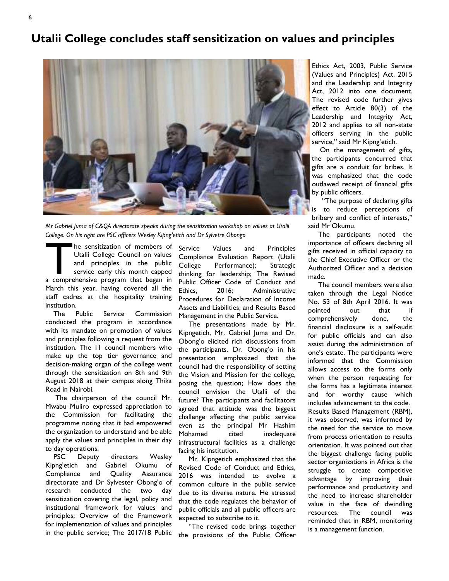# **Utalii College concludes staff sensitization on values and principles**



*Mr Gabriel Juma of C&QA directorate speaks during the sensitization workshop on values at Utalii College. On his right are PSC officers Wesley Kipng'etich and Dr Sylvetre Obongo* 

The sensitization of members of Utalii College Council on values<br>
and principles in the public<br>
service early this month capped<br>
a comprehensive program that began in Utalii College Council on values and principles in the public service early this month capped March this year, having covered all the staff cadres at the hospitality training institution.

 The Public Service Commission conducted the program in accordance with its mandate on promotion of values and principles following a request from the institution. The 11 council members who make up the top tier governance and decision-making organ of the college went through the sensitization on 8th and 9th August 2018 at their campus along Thika Road in Nairobi.

 The chairperson of the council Mr. Mwabu Muliro expressed appreciation to the Commission for facilitating the programme noting that it had empowered the organization to understand and be able apply the values and principles in their day to day operations.

 PSC Deputy directors Wesley Kipng'etich and Gabriel Okumu of Compliance and Quality Assurance directorate and Dr Sylvester Obong'o of research conducted the two day sensitization covering the legal, policy and institutional framework for values and principles; Overview of the Framework for implementation of values and principles in the public service; The 2017/18 Public

Service Values and Principles Compliance Evaluation Report (Utalii College Performance); Strategic thinking for leadership; The Revised Public Officer Code of Conduct and Ethics, 2016; Administrative Procedures for Declaration of Income Assets and Liabilities; and Results Based Management in the Public Service.

 The presentations made by Mr. Kipngetich, Mr. Gabriel Juma and Dr. Obong'o elicited rich discussions from the participants. Dr. Obong'o in his presentation emphasized that the council had the responsibility of setting the Vision and Mission for the college, posing the question; How does the council envision the Utalii of the future? The participants and facilitators agreed that attitude was the biggest challenge affecting the public service even as the principal Mr Hashim Mohamed cited inadequate infrastructural facilities as a challenge facing his institution.

 Mr. Kipngetich emphasized that the Revised Code of Conduct and Ethics, 2016 was intended to evolve a common culture in the public service due to its diverse nature. He stressed that the code regulates the behavior of public officials and all public officers are expected to subscribe to it.

 "The revised code brings together the provisions of the Public Officer

Ethics Act, 2003, Public Service (Values and Principles) Act, 2015 and the Leadership and Integrity Act, 2012 into one document. The revised code further gives effect to Article 80(3) of the Leadership and Integrity Act, 2012 and applies to all non-state officers serving in the public service," said Mr Kipng'etich.

 On the management of gifts, the participants concurred that gifts are a conduit for bribes. It was emphasized that the code outlawed receipt of financial gifts by public officers.

 "The purpose of declaring gifts is to reduce perceptions of bribery and conflict of interests," said Mr Okumu.

 The participants noted the importance of officers declaring all gifts received in official capacity to the Chief Executive Officer or the Authorized Officer and a decision made.

 The council members were also taken through the Legal Notice No. 53 of 8th April 2016. It was pointed out that if comprehensively done, the financial disclosure is a self-audit for public officials and can also assist during the administration of one's estate. The participants were informed that the Commission allows access to the forms only when the person requesting for the forms has a legitimate interest and for worthy cause which includes advancement to the code. Results Based Management (RBM), it was observed, was informed by the need for the service to move from process orientation to results orientation. It was pointed out that the biggest challenge facing public sector organizations in Africa is the struggle to create competitive advantage by improving their performance and productivity and the need to increase shareholder value in the face of dwindling resources. The council was reminded that in RBM, monitoring is a management function.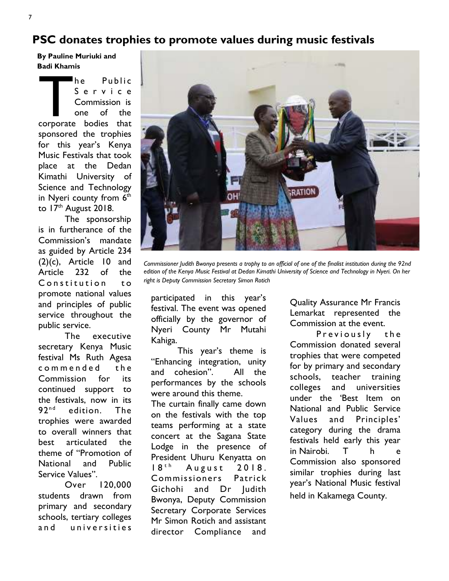# **PSC donates trophies to promote values during music festivals**

**By Pauline Muriuki and Badi Khamis** 

The Public<br>
Service<br>
Commission is<br>
one of the<br>
corporate bodies that S e r v i c e Commission is one of the sponsored the trophies for this year's Kenya Music Festivals that took place at the Dedan Kimathi University of Science and Technology in Nyeri county from  $6<sup>th</sup>$ to  $17<sup>th</sup>$  August 2018.

 The sponsorship is in furtherance of the Commission's mandate as guided by Article 234 (2)(c), Article 10 and Article 232 of the Constitution to promote national values and principles of public service throughout the public service.

 The executive secretary Kenya Music festival Ms Ruth Agesa commended the Commission for its continued support to the festivals, now in its 92<sup>nd</sup> edition. The trophies were awarded to overall winners that best articulated the theme of "Promotion of National and Public Service Values".

 Over 120,000 students drawn from primary and secondary schools, tertiary colleges and universities

![](_page_6_Picture_6.jpeg)

*Commissioner Judith Bwonya presents a trophy to an official of one of the finalist institution during the 92nd edition of the Kenya Music Festival at Dedan Kimathi University of Science and Technology in Nyeri. On her right is Deputy Commission Secretary Simon Rotich* 

participated in this year's festival. The event was opened officially by the governor of Nyeri County Mr Mutahi Kahiga.

This year's theme is "Enhancing integration, unity and cohesion". All the performances by the schools were around this theme. The curtain finally came down on the festivals with the top teams performing at a state concert at the Sagana State Lodge in the presence of President Uhuru Kenyatta on  $18<sup>th</sup>$  August 2018. Commissioners Patrick Gichohi and Dr Judith Bwonya, Deputy Commission Secretary Corporate Services Mr Simon Rotich and assistant director Compliance and

Quality Assurance Mr Francis Lemarkat represented the Commission at the event.

Previously the Commission donated several trophies that were competed for by primary and secondary schools, teacher training colleges and universities under the 'Best Item on National and Public Service Values and Principles' category during the drama festivals held early this year in Nairobi. T h e Commission also sponsored similar trophies during last year's National Music festival held in Kakamega County.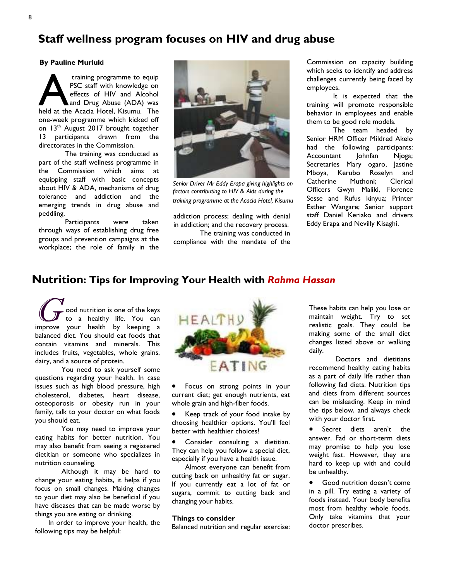# **Staff wellness program focuses on HIV and drug abuse**

#### **By Pauline Muriuki**

training programme to equip<br>
PSC staff with knowledge on<br>
effects of HIV and Alcohol<br>
and Drug Abuse (ADA) was<br>
held at the Acacia Hotel, Kisumu. The PSC staff with knowledge on effects of HIV and Alcohol and Drug Abuse (ADA) was one-week programme which kicked off on 13<sup>th</sup> August 2017 brought together 13 participants drawn from the directorates in the Commission.

The training was conducted as part of the staff wellness programme in the Commission which aims at equipping staff with basic concepts about HIV & ADA, mechanisms of drug tolerance and addiction and the emerging trends in drug abuse and peddling.

Participants were taken through ways of establishing drug free groups and prevention campaigns at the workplace; the role of family in the

![](_page_7_Picture_5.jpeg)

*Senior Driver Mr Eddy Erapa giving highlights on factors contributing to HIV & Aids during the training programme at the Acacia Hotel, Kisumu* 

addiction process; dealing with denial in addiction; and the recovery process. The training was conducted in

compliance with the mandate of the

Commission on capacity building which seeks to identify and address challenges currently being faced by employees.

 It is expected that the training will promote responsible behavior in employees and enable them to be good role models.

The team headed by Senior HRM Officer Mildred Akelo had the following participants: Accountant Johnfan Njoga; Secretaries Mary ogaro, Jastine Mboya, Kerubo Roselyn and Catherine Muthoni; Clerical Officers Gwyn Maliki, Florence Sesse and Rufus kinyua; Printer Esther Wangare; Senior support staff Daniel Keriako and drivers Eddy Erapa and Nevilly Kisaghi.

### **Nutrition: Tips for Improving Your Health with** *Rahma Hassan*

 $\boldsymbol{C}$ ood nutrition is one of the keys to a healthy life. You can improve your health by keeping a balanced diet. You should eat foods that contain vitamins and minerals. This includes fruits, vegetables, whole grains, dairy, and a source of protein.

You need to ask yourself some questions regarding your health. In case issues such as high blood pressure, high cholesterol, diabetes, heart disease, osteoporosis or obesity run in your family, talk to your doctor on what foods you should eat.

You may need to improve your eating habits for better nutrition. You may also benefit from seeing a registered dietitian or someone who specializes in nutrition counseling.

Although it may be hard to change your eating habits, it helps if you focus on small changes. Making changes to your diet may also be beneficial if you have diseases that can be made worse by things you are eating or drinking.

In order to improve your health, the following tips may be helpful:

![](_page_7_Picture_18.jpeg)

• Focus on strong points in your current diet; get enough nutrients, eat whole grain and high-fiber foods.

• Keep track of your food intake by choosing healthier options. You'll feel better with healthier choices!

Consider consulting a dietitian. They can help you follow a special diet, especially if you have a health issue.

Almost everyone can benefit from cutting back on unhealthy fat or sugar. If you currently eat a lot of fat or sugars, commit to cutting back and changing your habits.

#### **Things to consider**

Balanced nutrition and regular exercise:

These habits can help you lose or maintain weight. Try to set realistic goals. They could be making some of the small diet changes listed above or walking daily.

 Doctors and dietitians recommend healthy eating habits as a part of daily life rather than following fad diets. Nutrition tips and diets from different sources can be misleading. Keep in mind the tips below, and always check with your doctor first.

• Secret diets aren't the answer. Fad or short-term diets may promise to help you lose weight fast. However, they are hard to keep up with and could be unhealthy.

• Good nutrition doesn't come in a pill. Try eating a variety of foods instead. Your body benefits most from healthy whole foods. Only take vitamins that your doctor prescribes.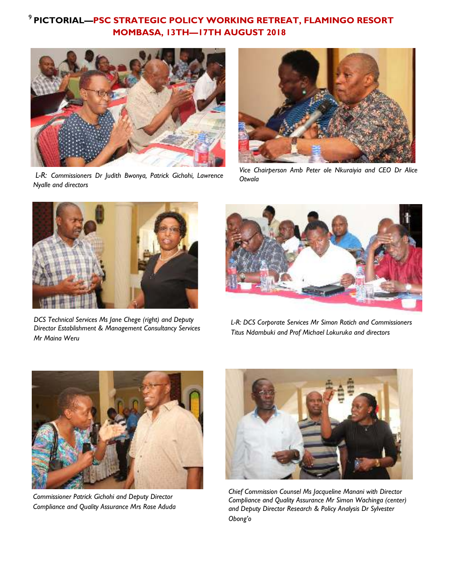## <sup>9</sup>**PICTORIAL—PSC STRATEGIC POLICY WORKING RETREAT, FLAMINGO RESORT MOMBASA, 13TH—17TH AUGUST 2018**

![](_page_8_Picture_1.jpeg)

 *L-R: Commissioners Dr Judith Bwonya, Patrick Gichohi, Lawrence Nyalle and directors* 

![](_page_8_Picture_3.jpeg)

*Vice Chairperson Amb Peter ole Nkuraiyia and CEO Dr Alice Otwala* 

![](_page_8_Picture_5.jpeg)

*DCS Technical Services Ms Jane Chege (right) and Deputy Director Establishment & Management Consultancy Services Mr Maina Weru* 

![](_page_8_Picture_7.jpeg)

*L-R: DCS Corporate Services Mr Simon Rotich and Commissioners Titus Ndambuki and Prof Michael Lokuruka and directors* 

![](_page_8_Picture_9.jpeg)

*Commissioner Patrick Gichohi and Deputy Director Compliance and Quality Assurance Mrs Rose Aduda*

![](_page_8_Picture_11.jpeg)

*Chief Commission Counsel Ms Jacqueline Manani with Director Compliance and Quality Assurance Mr Simon Wachinga (center) and Deputy Director Research & Policy Analysis Dr Sylvester Obong'o*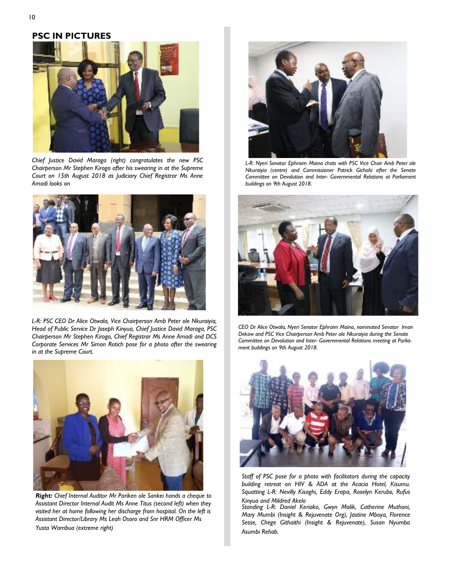### **PSC IN PICTURES**

![](_page_9_Picture_1.jpeg)

*Chief Justice David Maraga (right) congratulates the new PSC Chairperson Mr Stephen Kirogo after his swearing in at the Supreme Court on 15th August 2018 as Judiciary Chief Registrar Ms Anne Amadi looks on* 

![](_page_9_Picture_3.jpeg)

*L-R: PSC CEO Dr Alice Otwala, Vice Chairperson Amb Peter ole Nkuraiyia, Head of Public Service Dr Joseph Kinyua, Chief Justice David Maraga, PSC Chairperson Mr Stephen Kirogo, Chief Registrar Ms Anne Amadi and DCS Corporate Services Mr Simon Rotich pose for a photo after the swearing in at the Supreme Court.* 

![](_page_9_Picture_5.jpeg)

*Right: Chief Internal Auditor Mr Pariken ole Sankei hands a cheque to Assistant Director Internal Audit Ms Anne Titus (second left) when they visited her at home following her discharge from hospital. On the left is Assistant Director/Library Ms Leah Osoro and Snr HRM Officer Ms Yusta Wambua (extreme right)* 

![](_page_9_Picture_7.jpeg)

L-R: Nyeri Senator Ephraim Maina chats with PSC Vice Chair Amb Peter ole *Nkuraiyia (centre) and Commissioner Patrick Gichohi after the Senate Committee on Devolution and Inter- Governmental Relations at Parliament buildings on 9th August 2018.* 

![](_page_9_Picture_9.jpeg)

*CEO Dr Alice Otwala, Nyeri Senator Ephraim Maina, nominated Senator Iman Dekow and PSC Vice Chairperson Amb Peter ole Nkuraiyia during the Senate Committee on Devolution and Inter- Governmental Relations meeting at Parliament buildings on 9th August 2018.* 

![](_page_9_Picture_11.jpeg)

*Staff of PSC pose for a photo with facilitators during the capacity building retreat on HIV & ADA at the Acacia Hotel, Kisumu. Squatting L-R: Nevilly Kisaghi, Eddy Erapa, Roselyn Kerubo, Rufus Kinyua and Mildred Akelo* 

*Standing L-R: Daniel Keriako, Gwyn Malik, Catherine Muthoni, Mary Mumbi (Insight & Rejuvenate Org), Jastine Mboya, Florence Sesse, Chege Githaithi (Insight & Rejuvenate), Susan Nyumba Asumbi Rehab.*